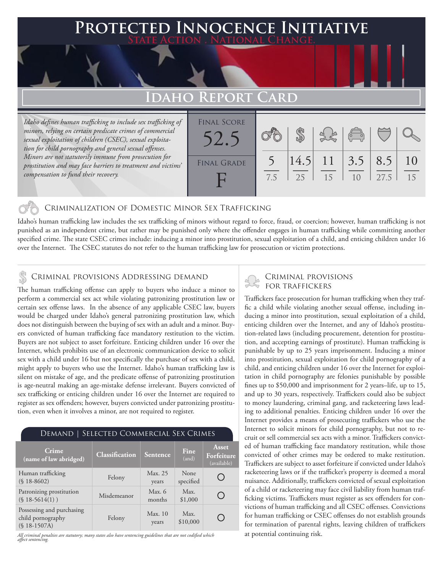## **Protected Innocence Initiative State Action . National Change.**

# **Idaho Report Card**

*Idaho defines human trafficking to include sex trafficking of minors, relying on certain predicate crimes of commercial sexual exploitation of children (CSEC), sexual exploitation for child pornography and general sexual offenses. Minors are not statutorily immune from prosecution for prostitution and may face barriers to treatment and victims' compensation to fund their recovery.*



## Criminalization of Domestic Minor Sex Trafficking

Idaho's human trafficking law includes the sex trafficking of minors without regard to force, fraud, or coercion; however, human trafficking is not punished as an independent crime, but rather may be punished only where the offender engages in human trafficking while committing another specified crime. The state CSEC crimes include: inducing a minor into prostitution, sexual exploitation of a child, and enticing children under 16 over the Internet. The CSEC statutes do not refer to the human trafficking law for prosecution or victim protections.

# CRIMINAL PROVISIONS ADDRESSING DEMAND<br>
FOR TRAFFICKERS

The human trafficking offense can apply to buyers who induce a minor to perform a commercial sex act while violating patronizing prostitution law or certain sex offense laws. In the absence of any applicable CSEC law, buyers would be charged under Idaho's general patronizing prostitution law, which does not distinguish between the buying of sex with an adult and a minor. Buyers convicted of human trafficking face mandatory restitution to the victim. Buyers are not subject to asset forfeiture. Enticing children under 16 over the Internet, which prohibits use of an electronic communication device to solicit sex with a child under 16 but not specifically the purchase of sex with a child, might apply to buyers who use the Internet. Idaho's human trafficking law is silent on mistake of age, and the predicate offense of patronizing prostitution is age-neutral making an age-mistake defense irrelevant. Buyers convicted of sex trafficking or enticing children under 16 over the Internet are required to register as sex offenders; however, buyers convicted under patronizing prostitution, even when it involves a minor, are not required to register.

### Demand | Selected Commercial Sex Crimes **Asset Crime (name of law abridged) Classification Sentence Fine Forfeiture**  (and) (available) None Human trafficking (§ 18-8602) Felony Max. 25 O specified years Patronizing prostitution Misdemeanor Max. 6<br>
(§ 18-5614(1)) Misdemeanor months Max.  $\bigcap$ months \$1,000 Possessing and purchasing Felony Max. 10 Max.  $\bigcirc$ child pornography \$10,000years (§ 18-1507A)

*All criminal penalties are statutory; many states also have sentencing guidelines that are not codified which affect sentencing.* 

Traffickers face prosecution for human trafficking when they traffic a child while violating another sexual offense, including inducing a minor into prostitution, sexual exploitation of a child, enticing children over the Internet, and any of Idaho's prostitution-related laws (including procurement, detention for prostitution, and accepting earnings of prostitute). Human trafficking is punishable by up to 25 years imprisonment. Inducing a minor into prostitution, sexual exploitation for child pornography of a child, and enticing children under 16 over the Internet for exploitation in child pornography are felonies punishable by possible fines up to \$50,000 and imprisonment for 2 years–life, up to 15, and up to 30 years, respectively. Traffickers could also be subject to money laundering, criminal gang, and racketeering laws leading to additional penalties. Enticing children under 16 over the Internet provides a means of prosecuting traffickers who use the Internet to solicit minors for child pornography, but not to recruit or sell commercial sex acts with a minor. Traffickers convicted of human trafficking face mandatory restitution, while those convicted of other crimes may be ordered to make restitution. Traffickers are subject to asset forfeiture if convicted under Idaho's racketeering laws or if the trafficker's property is deemed a moral nuisance. Additionally, traffickers convicted of sexual exploitation of a child or racketeering may face civil liability from human trafficking victims. Traffickers must register as sex offenders for convictions of human trafficking and all CSEC offenses. Convictions for human trafficking or CSEC offenses do not establish grounds for termination of parental rights, leaving children of traffickers at potential continuing risk.